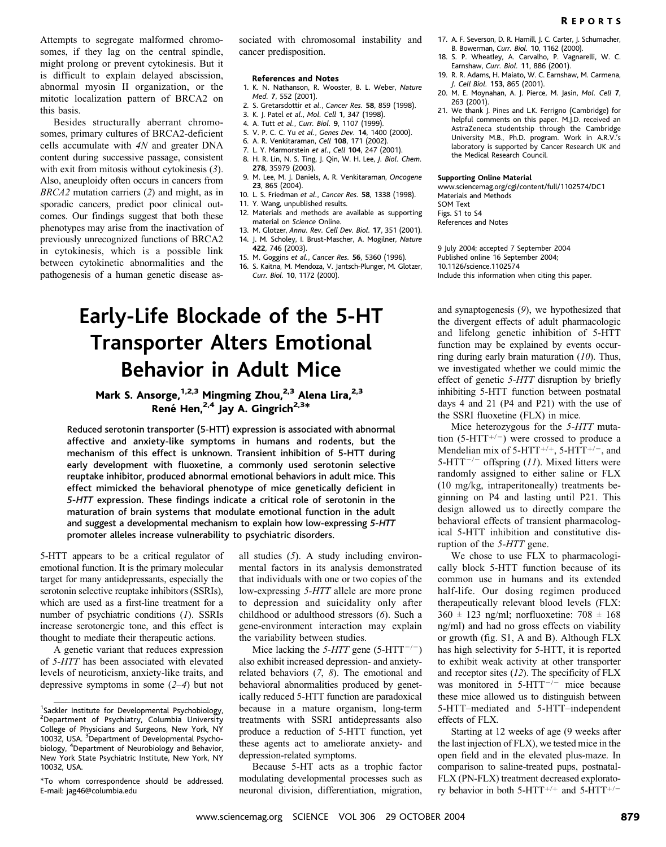Attempts to segregate malformed chromosomes, if they lag on the central spindle, might prolong or prevent cytokinesis. But it is difficult to explain delayed abscission, abnormal myosin II organization, or the mitotic localization pattern of BRCA2 on this basis.

Besides structurally aberrant chromosomes, primary cultures of BRCA2-deficient cells accumulate with 4N and greater DNA content during successive passage, consistent with exit from mitosis without cytokinesis (3). Also, aneuploidy often occurs in cancers from BRCA2 mutation carriers (2) and might, as in sporadic cancers, predict poor clinical outcomes. Our findings suggest that both these phenotypes may arise from the inactivation of previously unrecognized functions of BRCA2 in cytokinesis, which is a possible link between cytokinetic abnormalities and the pathogenesis of a human genetic disease as-

sociated with chromosomal instability and cancer predisposition.

### References and Notes

- 1. K. N. Nathanson, R. Wooster, B. L. Weber, Nature Med. 7, 552 (2001).
- 2. S. Gretarsdottir et al., Cancer Res. 58, 859 (1998).
- 3. K. J. Patel et al., Mol. Cell 1, 347 (1998).
- 4. A. Tutt et al., Curr. Biol. 9, 1107 (1999).
- 5. V. P. C. C. Yu et al., Genes Dev. 14, 1400 (2000).
- 6. A. R. Venkitaraman, Cell 108, 171 (2002).
- 7. L. Y. Marmorstein et al., Cell 104, 247 (2001).
- 8. H. R. Lin, N. S. Ting, J. Qin, W. H. Lee, J. Biol. Chem. 278, 35979 (2003).
- 9. M. Lee, M. J. Daniels, A. R. Venkitaraman, Oncogene 23, 865 (2004).
- 10. L. S. Friedman et al., Cancer Res. 58, 1338 (1998).
- 11. Y. Wang, unpublished results.
- 12. Materials and methods are available as supporting material on Science Online.
- 13. M. Glotzer, Annu. Rev. Cell Dev. Biol. 17, 351 (2001). 14. J. M. Scholey, I. Brust-Mascher, A. Mogilner, Nature
- 422, 746 (2003). 15. M. Goggins et al., Cancer Res. 56, 5360 (1996).
- 16. S. Kaitna, M. Mendoza, V. Jantsch-Plunger, M. Glotzer, Curr. Biol. 10, 1172 (2000).

# Early-Life Blockade of the 5-HT Transporter Alters Emotional Behavior in Adult Mice

# Mark S. Ansorge, <sup>1,2,3</sup> Mingming Zhou,<sup>2,3</sup> Alena Lira,<sup>2,3</sup> René Hen, $^{2,4}$  Jay A. Gingrich<sup>2,3\*</sup>

Reduced serotonin transporter (5-HTT) expression is associated with abnormal affective and anxiety-like symptoms in humans and rodents, but the mechanism of this effect is unknown. Transient inhibition of 5-HTT during early development with fluoxetine, a commonly used serotonin selective reuptake inhibitor, produced abnormal emotional behaviors in adult mice. This effect mimicked the behavioral phenotype of mice genetically deficient in 5-HTT expression. These findings indicate a critical role of serotonin in the maturation of brain systems that modulate emotional function in the adult and suggest a developmental mechanism to explain how low-expressing 5-HTT promoter alleles increase vulnerability to psychiatric disorders.

5-HTT appears to be a critical regulator of emotional function. It is the primary molecular target for many antidepressants, especially the serotonin selective reuptake inhibitors (SSRIs), which are used as a first-line treatment for a number of psychiatric conditions (1). SSRIs increase serotonergic tone, and this effect is thought to mediate their therapeutic actions.

A genetic variant that reduces expression of 5-HTT has been associated with elevated levels of neuroticism, anxiety-like traits, and depressive symptoms in some (2–4) but not

all studies  $(5)$ . A study including environmental factors in its analysis demonstrated that individuals with one or two copies of the low-expressing 5-HTT allele are more prone to depression and suicidality only after childhood or adulthood stressors (6). Such a gene-environment interaction may explain the variability between studies.

Mice lacking the 5-HTT gene (5-HTT<sup>-/-</sup>) also exhibit increased depression- and anxietyrelated behaviors (7, 8). The emotional and behavioral abnormalities produced by genetically reduced 5-HTT function are paradoxical because in a mature organism, long-term treatments with SSRI antidepressants also produce a reduction of 5-HTT function, yet these agents act to ameliorate anxiety- and depression-related symptoms.

Because 5-HT acts as a trophic factor modulating developmental processes such as neuronal division, differentiation, migration,

- 17. A. F. Severson, D. R. Hamill, J. C. Carter, J. Schumacher, B. Bowerman, Curr. Biol. 10, 1162 (2000).
- 18. S. P. Wheatley, A. Carvalho, P. Vagnarelli, W. C. Earnshaw, Curr. Biol. 11, 886 (2001).
- 19. R. R. Adams, H. Maiato, W. C. Earnshaw, M. Carmena, J. Cell Biol. 153, 865 (2001).
- 20. M. E. Moynahan, A. J. Pierce, M. Jasin, Mol. Cell 7, 263 (2001).
- 21. We thank J. Pines and L.K. Ferrigno (Cambridge) for helpful comments on this paper. M.J.D. received an AstraZeneca studentship through the Cambridge University M.B., Ph.D. program. Work in A.R.V.'s laboratory is supported by Cancer Research UK and the Medical Research Council.

#### Supporting Online Material

www.sciencemag.org/cgi/content/full/1102574/DC1 Materials and Methods SOM Text

Figs. S1 to S4

References and Notes

9 July 2004; accepted 7 September 2004 Published online 16 September 2004; 10.1126/science.1102574 Include this information when citing this paper.

and synaptogenesis (9), we hypothesized that the divergent effects of adult pharmacologic and lifelong genetic inhibition of 5-HTT function may be explained by events occurring during early brain maturation  $(10)$ . Thus, we investigated whether we could mimic the effect of genetic 5-HTT disruption by briefly inhibiting 5-HTT function between postnatal days 4 and 21 (P4 and P21) with the use of the SSRI fluoxetine (FLX) in mice.

Mice heterozygous for the 5-HTT mutation (5-HTT<sup>+/-</sup>) were crossed to produce a Mendelian mix of 5-HTT<sup>+/+</sup>, 5-HTT<sup>+/-</sup>, and 5-HTT $^{-/-}$  offspring (11). Mixed litters were randomly assigned to either saline or FLX (10 mg/kg, intraperitoneally) treatments beginning on P4 and lasting until P21. This design allowed us to directly compare the behavioral effects of transient pharmacological 5-HTT inhibition and constitutive disruption of the 5-HTT gene.

We chose to use FLX to pharmacologically block 5-HTT function because of its common use in humans and its extended half-life. Our dosing regimen produced therapeutically relevant blood levels (FLX:  $360 \pm 123$  ng/ml; norfluoxetine:  $708 \pm 168$ ng/ml) and had no gross effects on viability or growth (fig. S1, A and B). Although FLX has high selectivity for 5-HTT, it is reported to exhibit weak activity at other transporter and receptor sites (12). The specificity of FLX was monitored in  $5-HTT^{-/-}$  mice because these mice allowed us to distinguish between 5-HTT–mediated and 5-HTT–independent effects of FLX.

Starting at 12 weeks of age (9 weeks after the last injection of FLX), we tested mice in the open field and in the elevated plus-maze. In comparison to saline-treated pups, postnatal-FLX (PN-FLX) treatment decreased exploratory behavior in both 5-HTT<sup>+/+</sup> and 5-HTT<sup>+/-</sup>

<sup>&</sup>lt;sup>1</sup>Sackler Institute for Developmental Psychobiology, <sup>2</sup>Department of Psychiatry, Columbia University College of Physicians and Surgeons, New York, NY 10032, USA. <sup>3</sup>Department of Developmental Psychobiology, <sup>4</sup> Department of Neurobiology and Behavior, New York State Psychiatric Institute, New York, NY 10032, USA.

<sup>\*</sup>To whom correspondence should be addressed. E-mail: jag46@columbia.edu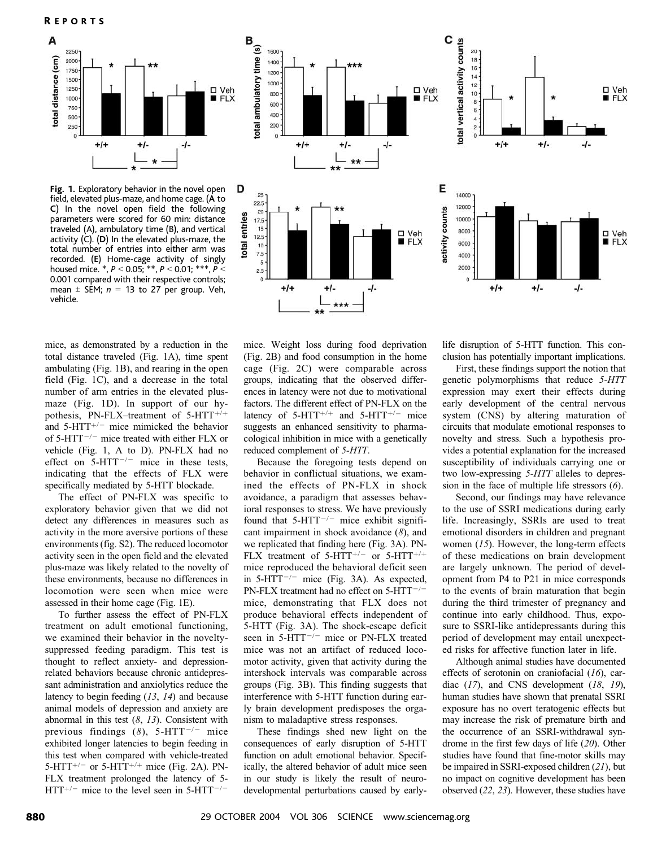

B

total ambulatory time (s)

D 25

> total entries 17.5

 $22.5$ 

20

15

 $12.5$ 

 $10$  $7.5$ 

 $\sqrt{5}$ 

 $+1+$ 

 $2.5$ 

1600

1400

1200

1000

800

600

400

200

 $+1+$ 

 $+/-$ 

-/-

Fig. 1. Exploratory behavior in the novel open field, elevated plus-maze, and home cage. (A to C) In the novel open field the following parameters were scored for 60 min: distance traveled (A), ambulatory time (B), and vertical activity (C). (D) In the elevated plus-maze, the total number of entries into either arm was recorded. (E) Home-cage activity of singly housed mice. \*,  $P < 0.05$ ; \*\*,  $P < 0.01$ ; \*\*\*,  $P <$ 0.001 compared with their respective controls; mean  $\pm$  SEM;  $n = 13$  to 27 per group. Veh, vehicle.

mice, as demonstrated by a reduction in the total distance traveled (Fig. 1A), time spent ambulating (Fig. 1B), and rearing in the open field (Fig. 1C), and a decrease in the total number of arm entries in the elevated plusmaze (Fig. 1D). In support of our hypothesis, PN-FLX–treatment of  $5$ -HTT<sup>+/+</sup> and  $5-HTT^{+/-}$  mice mimicked the behavior of 5-HTT $^{-/-}$  mice treated with either FLX or vehicle (Fig. 1, A to D). PN-FLX had no effect on  $5-HTT^{-/-}$  mice in these tests, indicating that the effects of FLX were specifically mediated by 5-HTT blockade.

The effect of PN-FLX was specific to exploratory behavior given that we did not detect any differences in measures such as activity in the more aversive portions of these environments (fig. S2). The reduced locomotor activity seen in the open field and the elevated plus-maze was likely related to the novelty of these environments, because no differences in locomotion were seen when mice were assessed in their home cage (Fig. 1E).

To further assess the effect of PN-FLX treatment on adult emotional functioning, we examined their behavior in the noveltysuppressed feeding paradigm. This test is thought to reflect anxiety- and depressionrelated behaviors because chronic antidepressant administration and anxiolytics reduce the latency to begin feeding (13, 14) and because animal models of depression and anxiety are abnormal in this test (8, 13). Consistent with previous findings (8), 5-HTT<sup> $-/-$ </sup> mice exhibited longer latencies to begin feeding in this test when compared with vehicle-treated 5-HTT<sup>+/-</sup> or 5-HTT<sup>+/+</sup> mice (Fig. 2A). PN-FLX treatment prolonged the latency of 5-  $HTT<sup>+/-</sup>$  mice to the level seen in 5-HTT<sup> $-/-$ </sup>

mice. Weight loss during food deprivation (Fig. 2B) and food consumption in the home cage (Fig. 2C) were comparable across groups, indicating that the observed differences in latency were not due to motivational factors. The different effect of PN-FLX on the latency of 5-HTT<sup>+/+</sup> and 5-HTT<sup>+/-</sup> mice suggests an enhanced sensitivity to pharmacological inhibition in mice with a genetically reduced complement of 5-HTT.

 $+1-$ 

 $***$ 

 $-I-$ 

Because the foregoing tests depend on behavior in conflictual situations, we examined the effects of PN-FLX in shock avoidance, a paradigm that assesses behavioral responses to stress. We have previously found that  $5-HTT^{-/-}$  mice exhibit significant impairment in shock avoidance  $(8)$ , and we replicated that finding here (Fig. 3A). PN-FLX treatment of 5-HTT+ $/$ - or 5-HTT+ $/$ + mice reproduced the behavioral deficit seen in 5-HTT $^{-/-}$  mice (Fig. 3A). As expected, PN-FLX treatment had no effect on  $5$ -HTT<sup>-/-</sup> mice, demonstrating that FLX does not produce behavioral effects independent of 5-HTT (Fig. 3A). The shock-escape deficit seen in 5-HTT $^{-/-}$  mice or PN-FLX treated mice was not an artifact of reduced locomotor activity, given that activity during the intershock intervals was comparable across groups (Fig. 3B). This finding suggests that interference with 5-HTT function during early brain development predisposes the organism to maladaptive stress responses.

These findings shed new light on the consequences of early disruption of 5-HTT function on adult emotional behavior. Specifically, the altered behavior of adult mice seen in our study is likely the result of neurodevelopmental perturbations caused by earlylife disruption of 5-HTT function. This conclusion has potentially important implications.

 $+/-$ 

 $-I-$ 

□ Veh

 $H$ FIX

□ Veh<br>■ FLX

C

 $\Box$  Yeh

Е

activity counts

□ Veh<br>■ FLX

14000

12000

10000

8000

6000

4000

2000

 $\sigma$ 

 $+/-$ 

total vertical activity counts

20

18

16

 $14<sup>°</sup>$ 

 $12$ 

10

8

 $\mathfrak{g}$ 

 $+1+$ 

 $+/-$ 

First, these findings support the notion that genetic polymorphisms that reduce 5-HTT expression may exert their effects during early development of the central nervous system (CNS) by altering maturation of circuits that modulate emotional responses to novelty and stress. Such a hypothesis provides a potential explanation for the increased susceptibility of individuals carrying one or two low-expressing 5-HTT alleles to depression in the face of multiple life stressors (6).

Second, our findings may have relevance to the use of SSRI medications during early life. Increasingly, SSRIs are used to treat emotional disorders in children and pregnant women (15). However, the long-term effects of these medications on brain development are largely unknown. The period of development from P4 to P21 in mice corresponds to the events of brain maturation that begin during the third trimester of pregnancy and continue into early childhood. Thus, exposure to SSRI-like antidepressants during this period of development may entail unexpected risks for affective function later in life.

Although animal studies have documented effects of serotonin on craniofacial (16), cardiac  $(17)$ , and CNS development  $(18, 19)$ , human studies have shown that prenatal SSRI exposure has no overt teratogenic effects but may increase the risk of premature birth and the occurrence of an SSRI-withdrawal syndrome in the first few days of life (20). Other studies have found that fine-motor skills may be impaired in SSRI-exposed children (21), but no impact on cognitive development has been observed (22, 23). However, these studies have